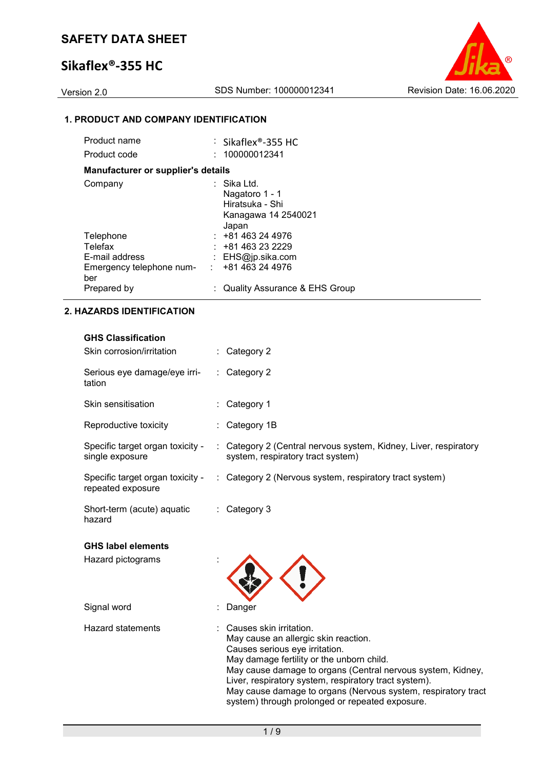# **Sikaflex®-355 HC**

Version 2.0 SDS Number: 100000012341 Revision Date: 16.06.2020

# **1. PRODUCT AND COMPANY IDENTIFICATION**

| Product name                              | $\therefore$ Sikaflex®-355 HC                                                    |
|-------------------------------------------|----------------------------------------------------------------------------------|
| Product code                              | : 100000012341                                                                   |
| <b>Manufacturer or supplier's details</b> |                                                                                  |
| Company                                   | : Sika Ltd.<br>Nagatoro 1 - 1<br>Hiratsuka - Shi<br>Kanagawa 14 2540021<br>Japan |
| Telephone                                 | $: +81463244976$                                                                 |
| Telefax                                   | $: +81463232229$                                                                 |
| E-mail address                            | : EHS@jp.sika.com                                                                |
| Emergency telephone num-<br>ber           | : 481463244976                                                                   |
| Prepared by                               | Quality Assurance & EHS Group                                                    |

### **2. HAZARDS IDENTIFICATION**

| <b>HAZARDS IDENTIFICATION</b>                          |                                                                                                     |  |
|--------------------------------------------------------|-----------------------------------------------------------------------------------------------------|--|
| <b>GHS Classification</b><br>Skin corrosion/irritation | : Category 2                                                                                        |  |
| Serious eye damage/eye irri-<br>tation                 | : Category 2                                                                                        |  |
| Skin sensitisation                                     | : Category 1                                                                                        |  |
| Reproductive toxicity                                  | : Category 1B                                                                                       |  |
| Specific target organ toxicity -<br>single exposure    | Category 2 (Central nervous system, Kidney, Liver, respiratory<br>system, respiratory tract system) |  |
| Specific target organ toxicity -<br>repeated exposure  | : Category 2 (Nervous system, respiratory tract system)                                             |  |
| Short-term (acute) aquatic<br>hazard                   | : Category 3                                                                                        |  |
| <b>GHS label elements</b>                              |                                                                                                     |  |
| Hazard pictograms                                      |                                                                                                     |  |
| Signal word                                            | Danger                                                                                              |  |
| <b>Hazard statements</b>                               | Causes skin irritation.<br>May cause an allergic skin reaction.                                     |  |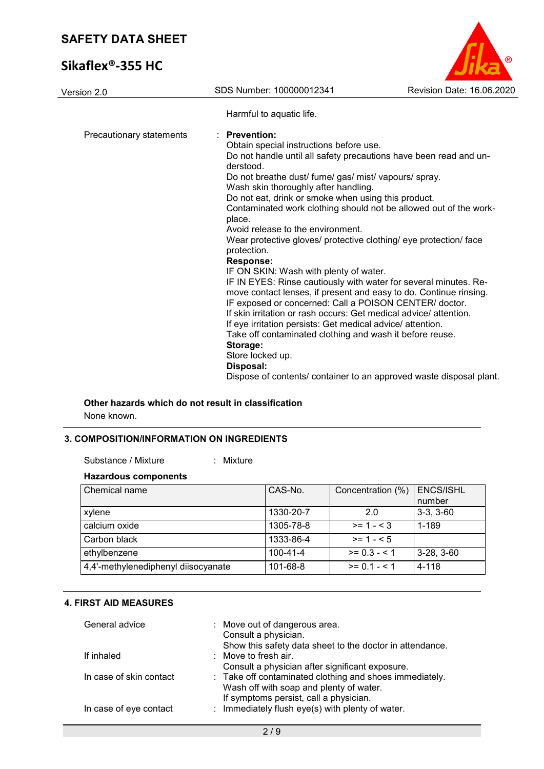# **Sikaflex®-355 HC**



| Version 2.0              | SDS Number: 100000012341                                                                                                                                                                                                                                                                                                                                                                                                                                                                                                                                                                                                                                                                                                                                                                                                                                                                                                                                                                                                                                                                           | Revision Date: 16.06.2020 |
|--------------------------|----------------------------------------------------------------------------------------------------------------------------------------------------------------------------------------------------------------------------------------------------------------------------------------------------------------------------------------------------------------------------------------------------------------------------------------------------------------------------------------------------------------------------------------------------------------------------------------------------------------------------------------------------------------------------------------------------------------------------------------------------------------------------------------------------------------------------------------------------------------------------------------------------------------------------------------------------------------------------------------------------------------------------------------------------------------------------------------------------|---------------------------|
|                          | Harmful to aquatic life.                                                                                                                                                                                                                                                                                                                                                                                                                                                                                                                                                                                                                                                                                                                                                                                                                                                                                                                                                                                                                                                                           |                           |
| Precautionary statements | <b>Prevention:</b><br>Obtain special instructions before use.<br>Do not handle until all safety precautions have been read and un-<br>derstood.<br>Do not breathe dust/ fume/ gas/ mist/ vapours/ spray.<br>Wash skin thoroughly after handling.<br>Do not eat, drink or smoke when using this product.<br>Contaminated work clothing should not be allowed out of the work-<br>place.<br>Avoid release to the environment.<br>Wear protective gloves/ protective clothing/ eye protection/ face<br>protection.<br><b>Response:</b><br>IF ON SKIN: Wash with plenty of water.<br>IF IN EYES: Rinse cautiously with water for several minutes. Re-<br>move contact lenses, if present and easy to do. Continue rinsing.<br>IF exposed or concerned: Call a POISON CENTER/ doctor.<br>If skin irritation or rash occurs: Get medical advice/attention.<br>If eye irritation persists: Get medical advice/ attention.<br>Take off contaminated clothing and wash it before reuse.<br>Storage:<br>Store locked up.<br>Disposal:<br>Dispose of contents/ container to an approved waste disposal plant. |                           |

# **Other hazards which do not result in classification**

: Mixture

None known.

# **3. COMPOSITION/INFORMATION ON INGREDIENTS**

### **Hazardous components**

| Chemical name                       | CAS-No.        | Concentration (%) | <b>ENCS/ISHL</b><br>number |
|-------------------------------------|----------------|-------------------|----------------------------|
| xylene                              | 1330-20-7      | 2.0               | $3-3, 3-60$                |
| calcium oxide                       | 1305-78-8      | $>= 1 - 3$        | 1-189                      |
| Carbon black                        | 1333-86-4      | $>= 1 - 5$        |                            |
| ethylbenzene                        | $100 - 41 - 4$ | $>= 0.3 - 5.1$    | $3-28, 3-60$               |
| 4,4'-methylenediphenyl diisocyanate | $101 - 68 - 8$ | $>= 0.1 - 5.1$    | 4-118                      |

### **4. FIRST AID MEASURES**

| General advice          | : Move out of dangerous area.<br>Consult a physician.<br>Show this safety data sheet to the doctor in attendance. |
|-------------------------|-------------------------------------------------------------------------------------------------------------------|
| If inhaled              | : Move to fresh air.                                                                                              |
|                         | Consult a physician after significant exposure.                                                                   |
|                         | Wash off with soap and plenty of water.                                                                           |
|                         | If symptoms persist, call a physician.                                                                            |
| In case of eye contact  | : Immediately flush eye(s) with plenty of water.                                                                  |
| In case of skin contact | : Take off contaminated clothing and shoes immediately.                                                           |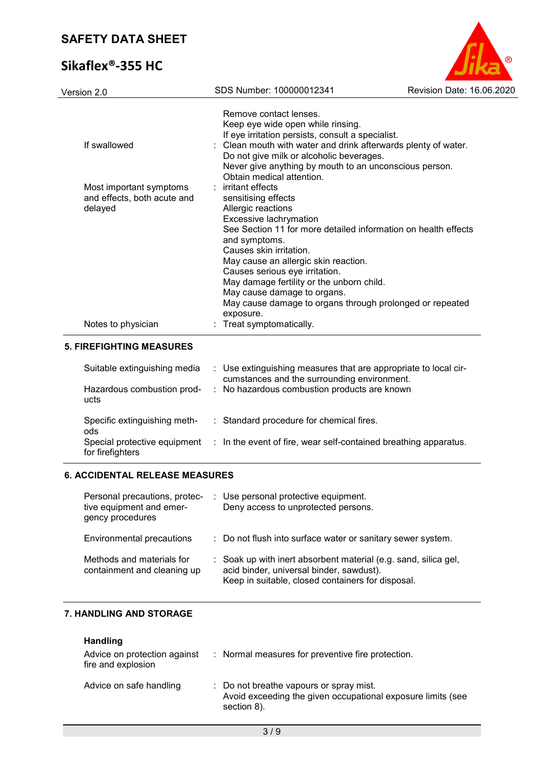# **Sikaflex®-355 HC**



| Version 2.0                                                       | SDS Number: 100000012341                                                                                                                                                                                                                                                                                                                                                                                                               | Revision Date: 16.06.2020 |
|-------------------------------------------------------------------|----------------------------------------------------------------------------------------------------------------------------------------------------------------------------------------------------------------------------------------------------------------------------------------------------------------------------------------------------------------------------------------------------------------------------------------|---------------------------|
| If swallowed                                                      | Remove contact lenses.<br>Keep eye wide open while rinsing.<br>If eye irritation persists, consult a specialist.<br>: Clean mouth with water and drink afterwards plenty of water.<br>Do not give milk or alcoholic beverages.<br>Never give anything by mouth to an unconscious person.<br>Obtain medical attention.                                                                                                                  |                           |
| Most important symptoms<br>and effects, both acute and<br>delayed | : irritant effects<br>sensitising effects<br>Allergic reactions<br>Excessive lachrymation<br>See Section 11 for more detailed information on health effects<br>and symptoms.<br>Causes skin irritation.<br>May cause an allergic skin reaction.<br>Causes serious eye irritation.<br>May damage fertility or the unborn child.<br>May cause damage to organs.<br>May cause damage to organs through prolonged or repeated<br>exposure. |                           |
| Notes to physician                                                | Treat symptomatically.                                                                                                                                                                                                                                                                                                                                                                                                                 |                           |
| <b>5. FIREFIGHTING MEASURES</b>                                   |                                                                                                                                                                                                                                                                                                                                                                                                                                        |                           |
| Suitable extinguishing media                                      | : Use extinguishing measures that are appropriate to local cir-<br>cumstances and the surrounding environment.                                                                                                                                                                                                                                                                                                                         |                           |
| Hazardous combustion prod-<br>ucts                                | No hazardous combustion products are known                                                                                                                                                                                                                                                                                                                                                                                             |                           |
| Specific extinguishing meth-<br>ods                               | : Standard procedure for chemical fires.                                                                                                                                                                                                                                                                                                                                                                                               |                           |

### **6. ACCIDENTAL RELEASE MEASURES**

Special protective equipment

for firefighters

| Personal precautions, protec-<br>tive equipment and emer-<br>gency procedures | : Use personal protective equipment.<br>Deny access to unprotected persons.                                                                                      |
|-------------------------------------------------------------------------------|------------------------------------------------------------------------------------------------------------------------------------------------------------------|
| Environmental precautions                                                     | : Do not flush into surface water or sanitary sewer system.                                                                                                      |
| Methods and materials for<br>containment and cleaning up                      | : Soak up with inert absorbent material (e.g. sand, silica gel,<br>acid binder, universal binder, sawdust).<br>Keep in suitable, closed containers for disposal. |

: In the event of fire, wear self-contained breathing apparatus.

### **7. HANDLING AND STORAGE**

### **Handling**

| Advice on protection against<br>fire and explosion | : Normal measures for preventive fire protection.                                                                     |
|----------------------------------------------------|-----------------------------------------------------------------------------------------------------------------------|
| Advice on safe handling                            | : Do not breathe vapours or spray mist.<br>Avoid exceeding the given occupational exposure limits (see<br>section 8). |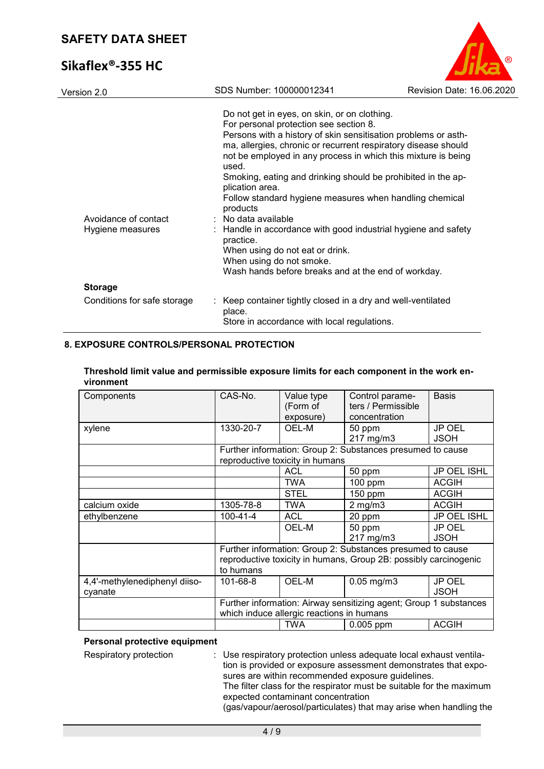# **Sikaflex®-355 HC**



| Version 2.0                              | SDS Number: 100000012341                                                                                                                                                                                                                                                                                                                                                                                                                                                                                                                                                                                                                                                                   | Revision Date: 16.06.2020 |
|------------------------------------------|--------------------------------------------------------------------------------------------------------------------------------------------------------------------------------------------------------------------------------------------------------------------------------------------------------------------------------------------------------------------------------------------------------------------------------------------------------------------------------------------------------------------------------------------------------------------------------------------------------------------------------------------------------------------------------------------|---------------------------|
| Avoidance of contact<br>Hygiene measures | Do not get in eyes, on skin, or on clothing.<br>For personal protection see section 8.<br>Persons with a history of skin sensitisation problems or asth-<br>ma, allergies, chronic or recurrent respiratory disease should<br>not be employed in any process in which this mixture is being<br>used.<br>Smoking, eating and drinking should be prohibited in the ap-<br>plication area.<br>Follow standard hygiene measures when handling chemical<br>products<br>: No data available<br>: Handle in accordance with good industrial hygiene and safety<br>practice.<br>When using do not eat or drink.<br>When using do not smoke.<br>Wash hands before breaks and at the end of workday. |                           |
| <b>Storage</b>                           |                                                                                                                                                                                                                                                                                                                                                                                                                                                                                                                                                                                                                                                                                            |                           |
| Conditions for safe storage              | : Keep container tightly closed in a dry and well-ventilated<br>place.<br>Store in accordance with local regulations.                                                                                                                                                                                                                                                                                                                                                                                                                                                                                                                                                                      |                           |

### **8. EXPOSURE CONTROLS/PERSONAL PROTECTION**

| Components                    | CAS-No.                                                           | Value type                      | Control parame-                                            | <b>Basis</b>       |
|-------------------------------|-------------------------------------------------------------------|---------------------------------|------------------------------------------------------------|--------------------|
|                               |                                                                   | (Form of                        | ters / Permissible                                         |                    |
|                               |                                                                   | exposure)                       | concentration                                              |                    |
| xylene                        | 1330-20-7                                                         | OEL-M                           | 50 ppm                                                     | JP OEL             |
|                               |                                                                   |                                 | 217 mg/m3                                                  | <b>JSOH</b>        |
|                               |                                                                   |                                 | Further information: Group 2: Substances presumed to cause |                    |
|                               |                                                                   | reproductive toxicity in humans |                                                            |                    |
|                               |                                                                   | <b>ACL</b>                      | 50 ppm                                                     | <b>JP OEL ISHL</b> |
|                               |                                                                   | <b>TWA</b>                      | 100 ppm                                                    | <b>ACGIH</b>       |
|                               |                                                                   | <b>STEL</b>                     | $150$ ppm                                                  | <b>ACGIH</b>       |
| calcium oxide                 | 1305-78-8                                                         | <b>TWA</b>                      | $2$ mg/m $3$                                               | <b>ACGIH</b>       |
| ethylbenzene                  | $100 - 41 - 4$                                                    | <b>ACL</b>                      | 20 ppm                                                     | JP OEL ISHL        |
|                               |                                                                   | OEL-M                           | 50 ppm                                                     | JP OEL             |
|                               |                                                                   |                                 | 217 mg/m3                                                  | <b>JSOH</b>        |
|                               | Further information: Group 2: Substances presumed to cause        |                                 |                                                            |                    |
|                               | reproductive toxicity in humans, Group 2B: possibly carcinogenic  |                                 |                                                            |                    |
|                               | to humans                                                         |                                 |                                                            |                    |
| 4,4'-methylenediphenyl diiso- | 101-68-8                                                          | OEL-M                           | $0.05$ mg/m $3$                                            | JP OEL             |
| cyanate                       |                                                                   |                                 |                                                            | <b>JSOH</b>        |
|                               | Further information: Airway sensitizing agent; Group 1 substances |                                 |                                                            |                    |
|                               | which induce allergic reactions in humans                         |                                 |                                                            |                    |
|                               |                                                                   | <b>TWA</b>                      | $0.005$ ppm                                                | <b>ACGIH</b>       |

#### **Threshold limit value and permissible exposure limits for each component in the work environment**

## **Personal protective equipment**

Respiratory protection : Use respiratory protection unless adequate local exhaust ventilation is provided or exposure assessment demonstrates that exposures are within recommended exposure guidelines. The filter class for the respirator must be suitable for the maximum expected contaminant concentration

(gas/vapour/aerosol/particulates) that may arise when handling the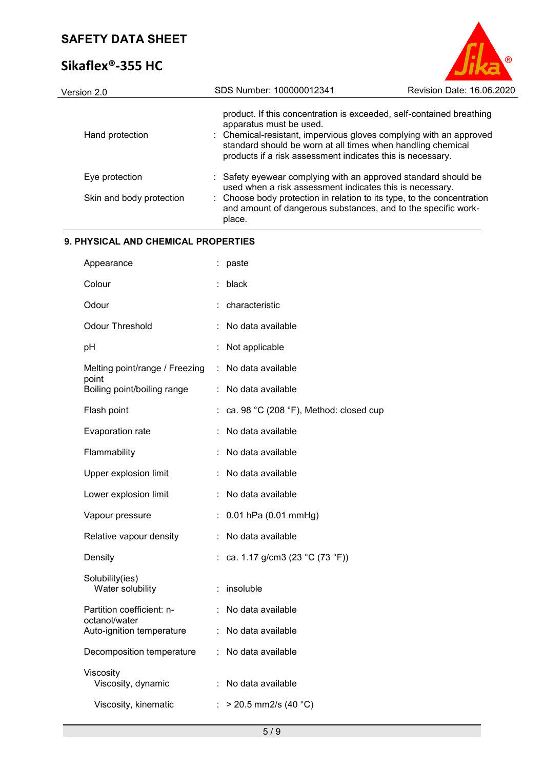# **Sikaflex®-355 HC**



| Version 2.0              | SDS Number: 100000012341                                                                                                                                                                                                   | Revision Date: 16.06.2020                                            |
|--------------------------|----------------------------------------------------------------------------------------------------------------------------------------------------------------------------------------------------------------------------|----------------------------------------------------------------------|
| Hand protection          | apparatus must be used.<br>: Chemical-resistant, impervious gloves complying with an approved<br>standard should be worn at all times when handling chemical<br>products if a risk assessment indicates this is necessary. | product. If this concentration is exceeded, self-contained breathing |
| Eye protection           | : Safety eyewear complying with an approved standard should be<br>used when a risk assessment indicates this is necessary.                                                                                                 |                                                                      |
| Skin and body protection | : Choose body protection in relation to its type, to the concentration<br>and amount of dangerous substances, and to the specific work-<br>place.                                                                          |                                                                      |

## **9. PHYSICAL AND CHEMICAL PROPERTIES**

| Appearance                                 |   | paste                                  |
|--------------------------------------------|---|----------------------------------------|
| Colour                                     |   | black                                  |
| Odour                                      |   | characteristic                         |
| <b>Odour Threshold</b>                     |   | No data available                      |
| рH                                         |   | Not applicable                         |
| Melting point/range / Freezing             | ÷ | No data available                      |
| point<br>Boiling point/boiling range       |   | No data available                      |
| Flash point                                |   | ca. 98 °C (208 °F), Method: closed cup |
| Evaporation rate                           |   | No data available                      |
| Flammability                               |   | No data available                      |
| Upper explosion limit                      | t | No data available                      |
| Lower explosion limit                      |   | No data available                      |
| Vapour pressure                            |   | $0.01$ hPa $(0.01$ mmHg)               |
| Relative vapour density                    |   | No data available                      |
| Density                                    |   | ca. 1.17 g/cm3 (23 °C (73 °F))         |
| Solubility(ies)<br>Water solubility        |   | insoluble                              |
| Partition coefficient: n-                  |   | No data available                      |
| octanol/water<br>Auto-ignition temperature | ÷ | No data available                      |
| Decomposition temperature                  |   | : No data available                    |
| Viscosity<br>Viscosity, dynamic            |   | No data available                      |
| Viscosity, kinematic                       |   | : > 20.5 mm2/s (40 °C)                 |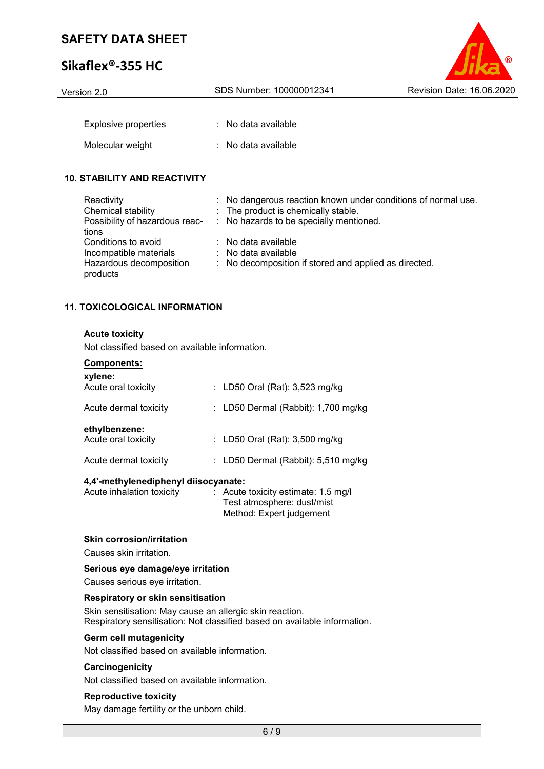# **Sikaflex®-355 HC**

| Version 2.0                 | SDS Number: 100000012341       | Revision Date: 16.06.2020 |
|-----------------------------|--------------------------------|---------------------------|
|                             |                                |                           |
| <b>Explosive properties</b> | : No data available            |                           |
| Molecular weight            | $\therefore$ No data available |                           |
|                             |                                |                           |

 $\bullet$ 

### **10. STABILITY AND REACTIVITY**

| Reactivity<br>Chemical stability<br>Possibility of hazardous reac-<br>tions          | : No dangerous reaction known under conditions of normal use.<br>: The product is chemically stable.<br>: No hazards to be specially mentioned. |
|--------------------------------------------------------------------------------------|-------------------------------------------------------------------------------------------------------------------------------------------------|
| Conditions to avoid<br>Incompatible materials<br>Hazardous decomposition<br>products | $:$ No data available<br>: No data available<br>: No decomposition if stored and applied as directed.                                           |

### **11. TOXICOLOGICAL INFORMATION**

### **Acute toxicity**

Not classified based on available information.

| <b>Components:</b><br>xylene:        |                                       |
|--------------------------------------|---------------------------------------|
| Acute oral toxicity                  | : LD50 Oral (Rat): 3,523 mg/kg        |
| Acute dermal toxicity                | : LD50 Dermal (Rabbit): 1,700 mg/kg   |
| ethylbenzene:<br>Acute oral toxicity | : LD50 Oral (Rat): 3,500 mg/kg        |
| Acute dermal toxicity                | : LD50 Dermal (Rabbit): $5,510$ mg/kg |
|                                      |                                       |

#### **4,4'-methylenediphenyl diisocyanate:**

| Acute inhalation toxicity | $\therefore$ Acute toxicity estimate: 1.5 mg/l |
|---------------------------|------------------------------------------------|
|                           | Test atmosphere: dust/mist                     |
|                           | Method: Expert judgement                       |
|                           |                                                |

### **Skin corrosion/irritation**

Causes skin irritation.

#### **Serious eye damage/eye irritation**

Causes serious eye irritation.

### **Respiratory or skin sensitisation**

Skin sensitisation: May cause an allergic skin reaction. Respiratory sensitisation: Not classified based on available information.

### **Germ cell mutagenicity**

Not classified based on available information.

### **Carcinogenicity**

Not classified based on available information.

### **Reproductive toxicity**

May damage fertility or the unborn child.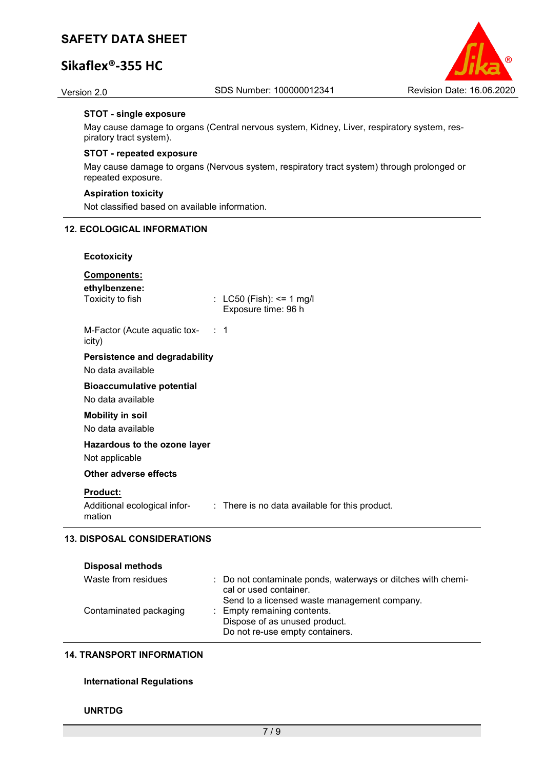# **Sikaflex®-355 HC**



#### **STOT - single exposure**

May cause damage to organs (Central nervous system, Kidney, Liver, respiratory system, respiratory tract system).

#### **STOT - repeated exposure**

May cause damage to organs (Nervous system, respiratory tract system) through prolonged or repeated exposure.

#### **Aspiration toxicity**

Not classified based on available information.

#### **12. ECOLOGICAL INFORMATION**

#### **Ecotoxicity**

## **Components:**

**ethylbenzene:**

 $\therefore$  LC50 (Fish): <= 1 mg/l Exposure time: 96 h

M-Factor (Acute aquatic toxicity) : 1

# **Persistence and degradability**

No data available

### **Bioaccumulative potential**

No data available

#### **Mobility in soil** No data available

# **Hazardous to the ozone layer**

Not applicable

### **Other adverse effects**

#### **Product:**

Additional ecological information : There is no data available for this product.

### **13. DISPOSAL CONSIDERATIONS**

| <b>Disposal methods</b> |                                                                                        |
|-------------------------|----------------------------------------------------------------------------------------|
| Waste from residues     | : Do not contaminate ponds, waterways or ditches with chemi-<br>cal or used container. |
|                         | Send to a licensed waste management company.                                           |
| Contaminated packaging  | : Empty remaining contents.                                                            |
|                         | Dispose of as unused product.                                                          |
|                         | Do not re-use empty containers.                                                        |

#### **14. TRANSPORT INFORMATION**

#### **International Regulations**

#### **UNRTDG**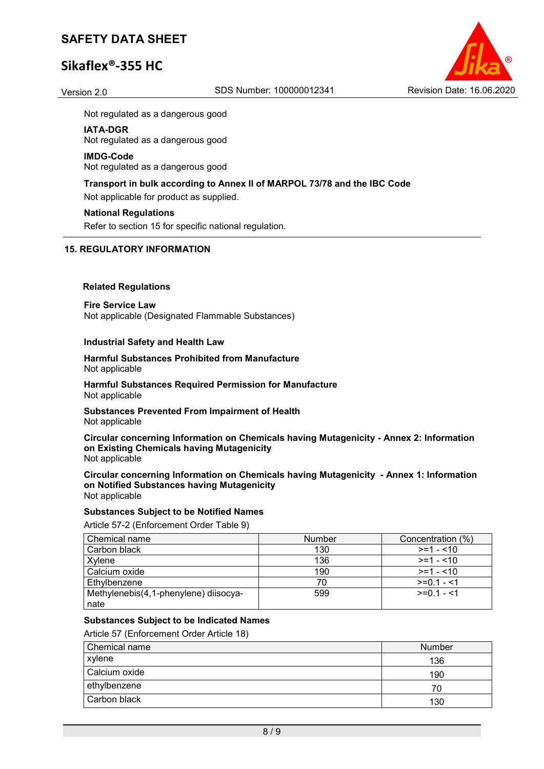# **Sikaflex®-355 HC**



Not regulated as a dangerous good

#### **IATA-DGR**

Not regulated as a dangerous good

#### **IMDG-Code**

Not regulated as a dangerous good

# **Transport in bulk according to Annex II of MARPOL 73/78 and the IBC Code**

Not applicable for product as supplied.

#### **National Regulations**

Refer to section 15 for specific national regulation.

#### **15. REGULATORY INFORMATION**

#### **Related Regulations**

**Fire Service Law** Not applicable (Designated Flammable Substances)

#### **Industrial Safety and Health Law**

**Harmful Substances Prohibited from Manufacture** Not applicable

**Harmful Substances Required Permission for Manufacture** Not applicable

**Substances Prevented From Impairment of Health** Not applicable

**Circular concerning Information on Chemicals having Mutagenicity - Annex 2: Information on Existing Chemicals having Mutagenicity** Not applicable

**Circular concerning Information on Chemicals having Mutagenicity - Annex 1: Information on Notified Substances having Mutagenicity** Not applicable

# **Substances Subject to be Notified Names**

Article 57-2 (Enforcement Order Table 9)

| Chemical name                         | <b>Number</b> | Concentration (%) |
|---------------------------------------|---------------|-------------------|
| Carbon black                          | 130           | $>=1 - 10$        |
| Xylene                                | 136           | $>=1 - 10$        |
| Calcium oxide                         | 190           | $>=1 - 10$        |
| Ethylbenzene                          | 70            | $>=0.1 - 1$       |
| Methylenebis(4,1-phenylene) diisocya- | 599           | $>=01 - 1$        |
| nate                                  |               |                   |

### **Substances Subject to be Indicated Names**

Article 57 (Enforcement Order Article 18)

| Chemical name | <b>Number</b> |
|---------------|---------------|
| xylene        | 136           |
| Calcium oxide | 190           |
| ethylbenzene  | 70            |
| Carbon black  | 130           |